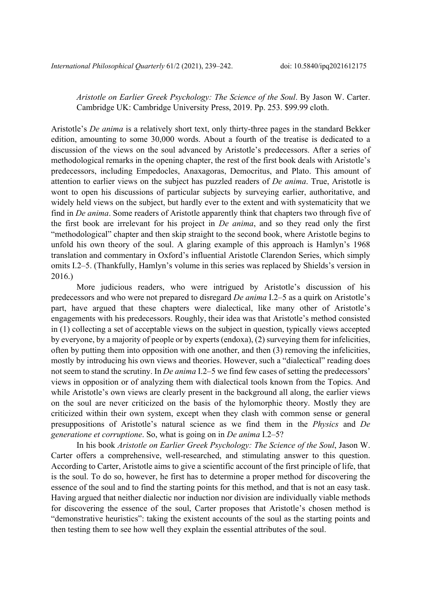*Aristotle on Earlier Greek Psychology: The Science of the Soul*. By Jason W. Carter. Cambridge UK: Cambridge University Press, 2019. Pp. 253. \$99.99 cloth.

Aristotle's *De anima* is a relatively short text, only thirty-three pages in the standard Bekker edition, amounting to some 30,000 words. About a fourth of the treatise is dedicated to a discussion of the views on the soul advanced by Aristotle's predecessors. After a series of methodological remarks in the opening chapter, the rest of the first book deals with Aristotle's predecessors, including Empedocles, Anaxagoras, Democritus, and Plato. This amount of attention to earlier views on the subject has puzzled readers of *De anima*. True, Aristotle is wont to open his discussions of particular subjects by surveying earlier, authoritative, and widely held views on the subject, but hardly ever to the extent and with systematicity that we find in *De anima*. Some readers of Aristotle apparently think that chapters two through five of the first book are irrelevant for his project in *De anima*, and so they read only the first "methodological" chapter and then skip straight to the second book, where Aristotle begins to unfold his own theory of the soul. A glaring example of this approach is Hamlyn's 1968 translation and commentary in Oxford's influential Aristotle Clarendon Series, which simply omits I.2–5. (Thankfully, Hamlyn's volume in this series was replaced by Shields's version in 2016.)

More judicious readers, who were intrigued by Aristotle's discussion of his predecessors and who were not prepared to disregard *De anima* I.2–5 as a quirk on Aristotle's part, have argued that these chapters were dialectical, like many other of Aristotle's engagements with his predecessors. Roughly, their idea was that Aristotle's method consisted in (1) collecting a set of acceptable views on the subject in question, typically views accepted by everyone, by a majority of people or by experts (endoxa), (2) surveying them for infelicities, often by putting them into opposition with one another, and then (3) removing the infelicities, mostly by introducing his own views and theories. However, such a "dialectical" reading does not seem to stand the scrutiny. In *De anima* I.2–5 we find few cases of setting the predecessors' views in opposition or of analyzing them with dialectical tools known from the Topics. And while Aristotle's own views are clearly present in the background all along, the earlier views on the soul are never criticized on the basis of the hylomorphic theory. Mostly they are criticized within their own system, except when they clash with common sense or general presuppositions of Aristotle's natural science as we find them in the *Physics* and *De generatione et corruptione*. So, what is going on in *De anima* I.2–5?

In his book *Aristotle on Earlier Greek Psychology: The Science of the Soul*, Jason W. Carter offers a comprehensive, well-researched, and stimulating answer to this question. According to Carter, Aristotle aims to give a scientific account of the first principle of life, that is the soul. To do so, however, he first has to determine a proper method for discovering the essence of the soul and to find the starting points for this method, and that is not an easy task. Having argued that neither dialectic nor induction nor division are individually viable methods for discovering the essence of the soul, Carter proposes that Aristotle's chosen method is "demonstrative heuristics": taking the existent accounts of the soul as the starting points and then testing them to see how well they explain the essential attributes of the soul.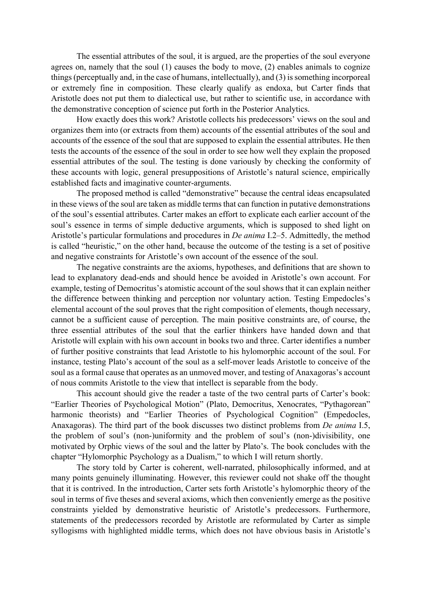The essential attributes of the soul, it is argued, are the properties of the soul everyone agrees on, namely that the soul (1) causes the body to move, (2) enables animals to cognize things (perceptually and, in the case of humans, intellectually), and (3) is something incorporeal or extremely fine in composition. These clearly qualify as endoxa, but Carter finds that Aristotle does not put them to dialectical use, but rather to scientific use, in accordance with the demonstrative conception of science put forth in the Posterior Analytics.

How exactly does this work? Aristotle collects his predecessors' views on the soul and organizes them into (or extracts from them) accounts of the essential attributes of the soul and accounts of the essence of the soul that are supposed to explain the essential attributes. He then tests the accounts of the essence of the soul in order to see how well they explain the proposed essential attributes of the soul. The testing is done variously by checking the conformity of these accounts with logic, general presuppositions of Aristotle's natural science, empirically established facts and imaginative counter-arguments.

The proposed method is called "demonstrative" because the central ideas encapsulated in these views of the soul are taken as middle terms that can function in putative demonstrations of the soul's essential attributes. Carter makes an effort to explicate each earlier account of the soul's essence in terms of simple deductive arguments, which is supposed to shed light on Aristotle's particular formulations and procedures in *De anima* I.2–5. Admittedly, the method is called "heuristic," on the other hand, because the outcome of the testing is a set of positive and negative constraints for Aristotle's own account of the essence of the soul.

The negative constraints are the axioms, hypotheses, and definitions that are shown to lead to explanatory dead-ends and should hence be avoided in Aristotle's own account. For example, testing of Democritus's atomistic account of the soul shows that it can explain neither the difference between thinking and perception nor voluntary action. Testing Empedocles's elemental account of the soul proves that the right composition of elements, though necessary, cannot be a sufficient cause of perception. The main positive constraints are, of course, the three essential attributes of the soul that the earlier thinkers have handed down and that Aristotle will explain with his own account in books two and three. Carter identifies a number of further positive constraints that lead Aristotle to his hylomorphic account of the soul. For instance, testing Plato's account of the soul as a self-mover leads Aristotle to conceive of the soul as a formal cause that operates as an unmoved mover, and testing of Anaxagoras's account of nous commits Aristotle to the view that intellect is separable from the body.

This account should give the reader a taste of the two central parts of Carter's book: "Earlier Theories of Psychological Motion" (Plato, Democritus, Xenocrates, "Pythagorean" harmonic theorists) and "Earlier Theories of Psychological Cognition" (Empedocles, Anaxagoras). The third part of the book discusses two distinct problems from *De anima* I.5, the problem of soul's (non-)uniformity and the problem of soul's (non-)divisibility, one motivated by Orphic views of the soul and the latter by Plato's. The book concludes with the chapter "Hylomorphic Psychology as a Dualism," to which I will return shortly.

The story told by Carter is coherent, well-narrated, philosophically informed, and at many points genuinely illuminating. However, this reviewer could not shake off the thought that it is contrived. In the introduction, Carter sets forth Aristotle's hylomorphic theory of the soul in terms of five theses and several axioms, which then conveniently emerge as the positive constraints yielded by demonstrative heuristic of Aristotle's predecessors. Furthermore, statements of the predecessors recorded by Aristotle are reformulated by Carter as simple syllogisms with highlighted middle terms, which does not have obvious basis in Aristotle's